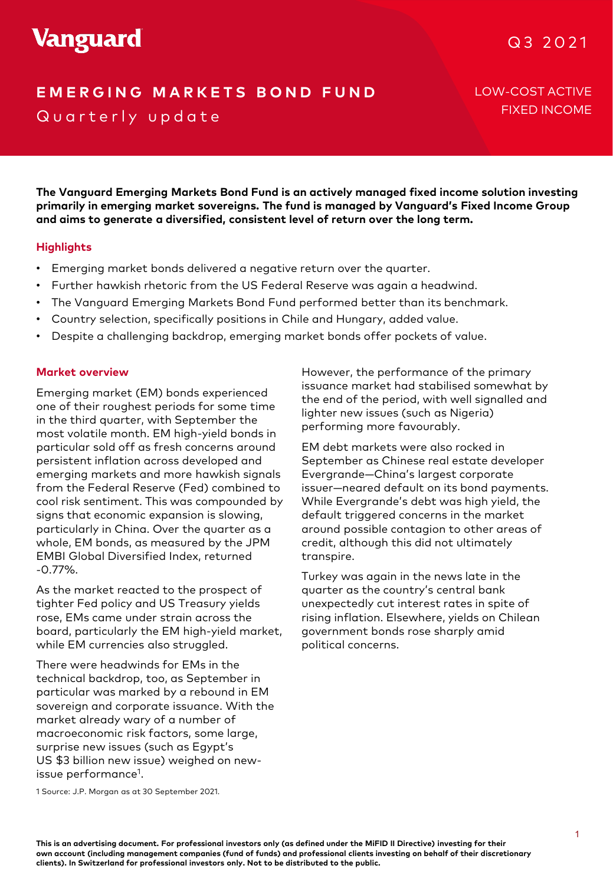# **Vanguard**

# Q3 2021

# **E MERGING MARKETS BOND FUND** LOW-COST ACTIVE Quarterly update

FIXED INCOME

**The Vanguard Emerging Markets Bond Fund is an actively managed fixed income solution investing primarily in emerging market sovereigns. The fund is managed by Vanguard's Fixed Income Group and aims to generate a diversified, consistent level of return over the long term.**

### **Highlights**

- Emerging market bonds delivered a negative return over the quarter.
- Further hawkish rhetoric from the US Federal Reserve was again a headwind.
- The Vanguard Emerging Markets Bond Fund performed better than its benchmark.
- Country selection, specifically positions in Chile and Hungary, added value.
- Despite a challenging backdrop, emerging market bonds offer pockets of value.

#### **Market overview**

2019 from the Federal Reserve (Fed) combined to Emerging market (EM) bonds experienced one of their roughest periods for some time in the third quarter, with September the most volatile month. EM high-yield bonds in particular sold off as fresh concerns around persistent inflation across developed and emerging markets and more hawkish signals cool risk sentiment. This was compounded by signs that economic expansion is slowing, particularly in China. Over the quarter as a whole, EM bonds, as measured by the JPM EMBI Global Diversified Index, returned -0.77%.

As the market reacted to the prospect of tighter Fed policy and US Treasury yields rose, EMs came under strain across the board, particularly the EM high-yield market, while EM currencies also struggled.

There were headwinds for EMs in the technical backdrop, too, as September in particular was marked by a rebound in EM sovereign and corporate issuance. With the market already wary of a number of macroeconomic risk factors, some large, surprise new issues (such as Egypt's US \$3 billion new issue) weighed on newissue performance<sup>1</sup>.

However, the performance of the primary issuance market had stabilised somewhat by the end of the period, with well signalled and lighter new issues (such as Nigeria) performing more favourably.

sh concerns around the Livi debt markets were diso rocked in the september as Chinese real estate developer EM debt markets were also rocked in Evergrande—China's largest corporate issuer—neared default on its bond payments. While Evergrande's debt was high yield, the default triggered concerns in the market around possible contagion to other areas of credit, although this did not ultimately transpire.

> Turkey was again in the news late in the quarter as the country's central bank unexpectedly cut interest rates in spite of rising inflation. Elsewhere, yields on Chilean government bonds rose sharply amid political concerns.

1 Source: J.P. Morgan as at 30 September 2021.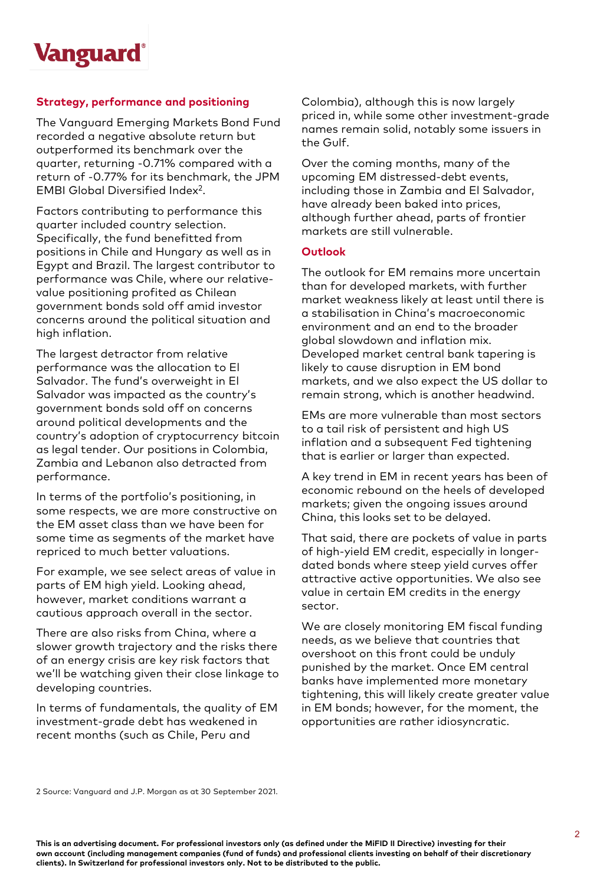

### **Strategy, performance and positioning**

The Vanguard Emerging Markets Bond Fund recorded a negative absolute return but outperformed its benchmark over the quarter, returning -0.71% compared with a return of -0.77% for its benchmark, the JPM EMBI Global Diversified Index2.

Factors contributing to performance this quarter included country selection. Specifically, the fund benefitted from positions in Chile and Hungary as well as in Egypt and Brazil. The largest contributor to performance was Chile, where our relativevalue positioning profited as Chilean government bonds sold off amid investor concerns around the political situation and high inflation.

The largest detractor from relative performance was the allocation to El Salvador. The fund's overweight in El Salvador was impacted as the country's government bonds sold off on concerns around political developments and the country's adoption of cryptocurrency bitcoin as legal tender. Our positions in Colombia, Zambia and Lebanon also detracted from performance.

In terms of the portfolio's positioning, in some respects, we are more constructive on the EM asset class than we have been for some time as segments of the market have repriced to much better valuations.

For example, we see select areas of value in parts of EM high yield. Looking ahead, however, market conditions warrant a cautious approach overall in the sector.

There are also risks from China, where a slower growth trajectory and the risks there of an energy crisis are key risk factors that we'll be watching given their close linkage to developing countries.

In terms of fundamentals, the quality of EM investment-grade debt has weakened in recent months (such as Chile, Peru and

Colombia), although this is now largely priced in, while some other investment-grade names remain solid, notably some issuers in the Gulf.

Over the coming months, many of the upcoming EM distressed-debt events, including those in Zambia and El Salvador, have already been baked into prices, although further ahead, parts of frontier markets are still vulnerable.

#### **Outlook**

The outlook for EM remains more uncertain than for developed markets, with further market weakness likely at least until there is a stabilisation in China's macroeconomic environment and an end to the broader global slowdown and inflation mix. Developed market central bank tapering is likely to cause disruption in EM bond markets, and we also expect the US dollar to remain strong, which is another headwind.

EMs are more vulnerable than most sectors to a tail risk of persistent and high US inflation and a subsequent Fed tightening that is earlier or larger than expected.

A key trend in EM in recent years has been of economic rebound on the heels of developed markets; given the ongoing issues around China, this looks set to be delayed.

That said, there are pockets of value in parts of high-yield EM credit, especially in longerdated bonds where steep yield curves offer attractive active opportunities. We also see value in certain EM credits in the energy sector.

We are closely monitoring EM fiscal funding needs, as we believe that countries that overshoot on this front could be unduly punished by the market. Once EM central banks have implemented more monetary tightening, this will likely create greater value in EM bonds; however, for the moment, the opportunities are rather idiosyncratic.

2 Source: Vanguard and J.P. Morgan as at 30 September 2021.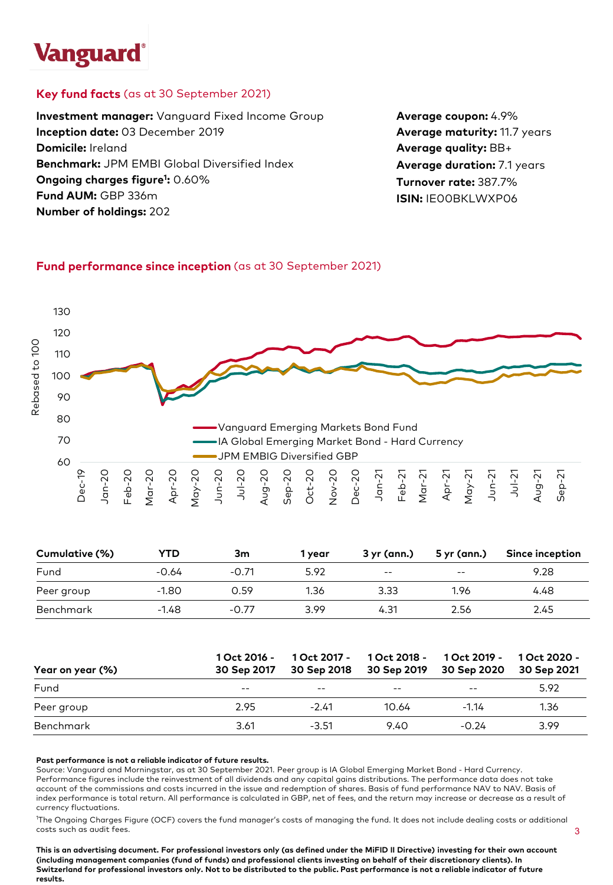# **Vanguard**

## **Key fund facts** (as at 30 September 2021)

**Investment manager:** Vanguard Fixed Income Group **Inception date:** 03 December 2019 **Domicile:** Ireland **Benchmark:** JPM EMBI Global Diversified Index **Ongoing charges figure1 :** 0.60% **Fund AUM:** GBP 336m **Number of holdings:** 202

**Average coupon:** 4.9% **Average maturity:** 11.7 years **Average quality:** BB+ **Average duration:** 7.1 years **Turnover rate:** 387.7% **ISIN:** IE00BKLWXP06

# **Fund performance since inception** (as at 30 September 2021)



| Cumulative (%) | YTD     | Зm      | 1 vear | 3 yr (ann.) | 5 yr (ann.) | <b>Since inception</b> |
|----------------|---------|---------|--------|-------------|-------------|------------------------|
| Fund           | $-0.64$ | $-0.71$ | 5.92   | $- -$       | $- -$       | 9.28                   |
| Peer group     | $-1.80$ | 0.59    | 1.36   | 3.33        | 1.96        | 4.48                   |
| Benchmark      | $-1.48$ | $-0.77$ | 3.99   | 4.31        | 2.56        | 2.45                   |

| Year on year (%) | 1 Oct 2016 -<br>30 Sep 2017 | 30 Sep 2018 | 1 Oct 2017 - 1 Oct 2018 - 1 Oct 2019 - | 30 Sep 2019 30 Sep 2020 | 1 Oct 2020 -<br>30 Sep 2021 |
|------------------|-----------------------------|-------------|----------------------------------------|-------------------------|-----------------------------|
| Fund             | $- -$                       | $ -$        | $- -$                                  | $- -$                   | 5.92                        |
| Peer group       | 2.95                        | $-2.41$     | 10.64                                  | $-1.14$                 | 1.36                        |
| Benchmark        | 3.61                        | $-3.51$     | 9.40                                   | $-0.24$                 | 3.99                        |

#### **Past performance is not a reliable indicator of future results.**

Source: Vanguard and Morningstar, as at 30 September 2021. Peer group is IA Global Emerging Market Bond - Hard Currency. Performance figures include the reinvestment of all dividends and any capital gains distributions. The performance data does not take account of the commissions and costs incurred in the issue and redemption of shares. Basis of fund performance NAV to NAV. Basis of index performance is total return. All performance is calculated in GBP, net of fees, and the return may increase or decrease as a result of currency fluctuations.

1 The Ongoing Charges Figure (OCF) covers the fund manager's costs of managing the fund. It does not include dealing costs or additional costs such as audit fees.

**This is an advertising document. For professional investors only (as defined under the MiFID II Directive) investing for their own account (including management companies (fund of funds) and professional clients investing on behalf of their discretionary clients). In Switzerland for professional investors only. Not to be distributed to the public. Past performance is not a reliable indicator of future results.**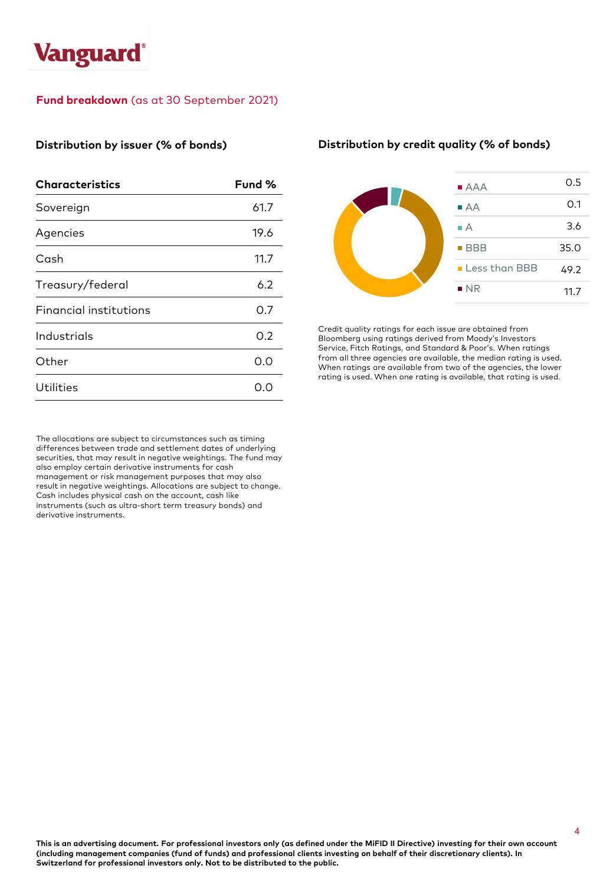

### **Fund breakdown** (as at 30 September 2021)

#### **Distribution by issuer (% of bonds)**

| <b>Characteristics</b>        | Fund % |
|-------------------------------|--------|
| Sovereign                     | 61.7   |
| Agencies                      | 19.6   |
| Cash                          | 11.7   |
| Treasury/federal              | 6.2    |
| <b>Financial institutions</b> | O.7    |
| Industrials                   | O.2    |
| Other                         | 0.0    |
| Utilities                     | O.C    |

The allocations are subject to circumstances such as timing differences between trade and settlement dates of underlying securities, that may result in negative weightings. The fund may also employ certain derivative instruments for cash management or risk management purposes that may also result in negative weightings. Allocations are subject to change. Cash includes physical cash on the account, cash like instruments (such as ultra-short term treasury bonds) and derivative instruments.

#### **Distribution by credit quality (% of bonds)**



Credit quality ratings for each issue are obtained from Bloomberg using ratings derived from Moody's Investors Service, Fitch Ratings, and Standard & Poor's. When ratings from all three agencies are available, the median rating is used. When ratings are available from two of the agencies, the lower rating is used. When one rating is available, that rating is used.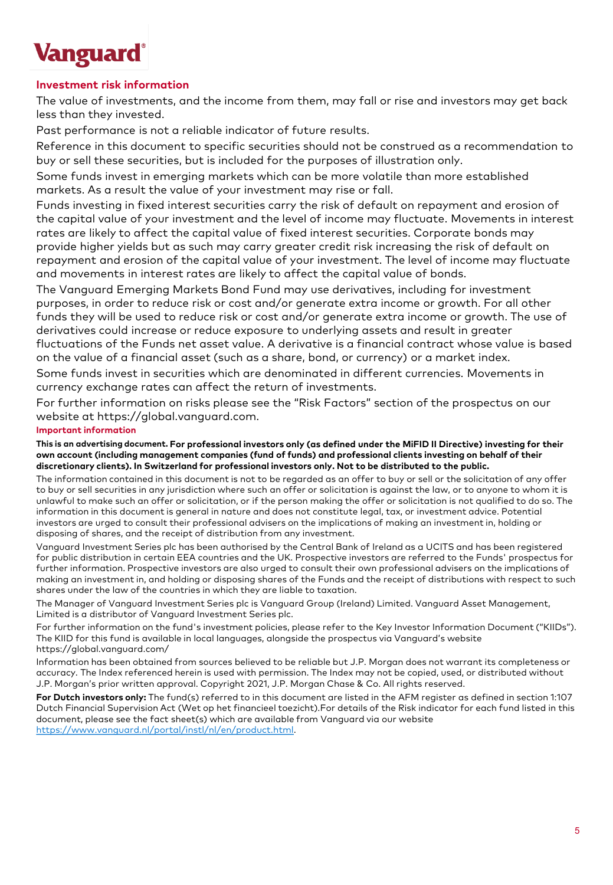# **Vanguard**

## **Investment risk information**

The value of investments, and the income from them, may fall or rise and investors may get back less than they invested.

Past performance is not a reliable indicator of future results.

Reference in this document to specific securities should not be construed as a recommendation to buy or sell these securities, but is included for the purposes of illustration only.

Some funds invest in emerging markets which can be more volatile than more established markets. As a result the value of your investment may rise or fall.

Funds investing in fixed interest securities carry the risk of default on repayment and erosion of the capital value of your investment and the level of income may fluctuate. Movements in interest rates are likely to affect the capital value of fixed interest securities. Corporate bonds may provide higher yields but as such may carry greater credit risk increasing the risk of default on repayment and erosion of the capital value of your investment. The level of income may fluctuate and movements in interest rates are likely to affect the capital value of bonds.

The Vanguard Emerging Markets Bond Fund may use derivatives, including for investment purposes, in order to reduce risk or cost and/or generate extra income or growth. For all other funds they will be used to reduce risk or cost and/or generate extra income or growth. The use of derivatives could increase or reduce exposure to underlying assets and result in greater fluctuations of the Funds net asset value. A derivative is a financial contract whose value is based on the value of a financial asset (such as a share, bond, or currency) or a market index.

Some funds invest in securities which are denominated in different currencies. Movements in currency exchange rates can affect the return of investments.

For further information on risks please see the "Risk Factors" section of the prospectus on our website at https://global.vanguard.com.

#### **Important information**

**This is an advertising document. For professional investors only (as defined under the MiFID II Directive) investing for their own account (including management companies (fund of funds) and professional clients investing on behalf of their discretionary clients). In Switzerland for professional investors only. Not to be distributed to the public.**

The information contained in this document is not to be regarded as an offer to buy or sell or the solicitation of any offer to buy or sell securities in any jurisdiction where such an offer or solicitation is against the law, or to anyone to whom it is unlawful to make such an offer or solicitation, or if the person making the offer or solicitation is not qualified to do so. The information in this document is general in nature and does not constitute legal, tax, or investment advice. Potential investors are urged to consult their professional advisers on the implications of making an investment in, holding or disposing of shares, and the receipt of distribution from any investment.

Vanguard Investment Series plc has been authorised by the Central Bank of Ireland as a UCITS and has been registered for public distribution in certain EEA countries and the UK. Prospective investors are referred to the Funds' prospectus for further information. Prospective investors are also urged to consult their own professional advisers on the implications of making an investment in, and holding or disposing shares of the Funds and the receipt of distributions with respect to such shares under the law of the countries in which they are liable to taxation.

The Manager of Vanguard Investment Series plc is Vanguard Group (Ireland) Limited. Vanguard Asset Management, Limited is a distributor of Vanguard Investment Series plc.

For further information on the fund's investment policies, please refer to the Key Investor Information Document ("KIIDs"). The KIID for this fund is available in local languages, alongside the prospectus via Vanguard's website https://global.vanguard.com/

Information has been obtained from sources believed to be reliable but J.P. Morgan does not warrant its completeness or accuracy. The Index referenced herein is used with permission. The Index may not be copied, used, or distributed without J.P. Morgan's prior written approval. Copyright 2021, J.P. Morgan Chase & Co. All rights reserved.

**For Dutch investors only:** The fund(s) referred to in this document are listed in the AFM register as defined in section 1:107 Dutch Financial Supervision Act (Wet op het financieel toezicht).For details of the Risk indicator for each fund listed in this document, please see the fact sheet(s) which are available from Vanguard via our website [https://www.vanguard.nl/portal/instl/nl/en/product.html.](https://www.vanguard.nl/portal/instl/nl/en/product.html)